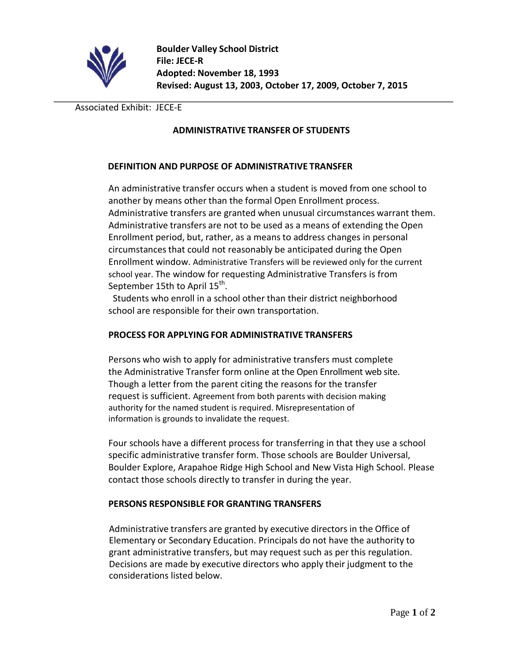

Associated Exhibit: JECE-E

### **ADMINISTRATIVE TRANSFER OF STUDENTS**

#### **DEFINITION AND PURPOSE OF ADMINISTRATIVE TRANSFER**

An administrative transfer occurs when a student is moved from one school to another by means other than the formal Open Enrollment process. Administrative transfers are granted when unusual circumstances warrant them. Administrative transfers are not to be used as a means of extending the Open Enrollment period, but, rather, as a means to address changes in personal circumstancesthat could not reasonably be anticipated during the Open Enrollment window. Administrative Transfers will be reviewed only for the current school year. The window for requesting Administrative Transfers is from September 15th to April 15<sup>th</sup>.

Students who enroll in a school other than their district neighborhood school are responsible for their own transportation.

### **PROCESS FOR APPLYING FOR ADMINISTRATIVE TRANSFERS**

Persons who wish to apply for administrative transfers must complete the Administrative Transfer form online at the Open Enrollment web site. Though a letter from the parent citing the reasons for the transfer request is sufficient. Agreement from both parents with decision making authority for the named student is required. Misrepresentation of information is grounds to invalidate the request.

Four schools have a different process for transferring in that they use a school specific administrative transfer form. Those schools are Boulder Universal, Boulder Explore, Arapahoe Ridge High School and New Vista High School. Please contact those schools directly to transfer in during the year.

### **PERSONS RESPONSIBLE FOR GRANTING TRANSFERS**

Administrative transfers are granted by executive directors in the Office of Elementary or Secondary Education. Principals do not have the authority to grant administrative transfers, but may request such as per this regulation. Decisions are made by executive directors who apply their judgment to the considerations listed below.